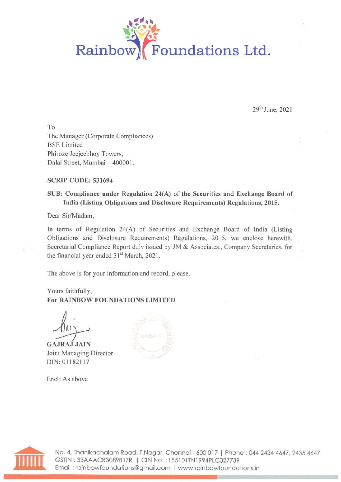

29" June, 2021

To The Manager (Corporate Compliances) BSE Limited Phiroze Jeejeebhoy Towers, Dalai Street, Mumbai — 400001.

#### SCRIP CODE: 531694

### SUB: Compliance under Regulation 24(A) of the Securities and Exchange Board of India (Listing Obligations and Disclosure Requirements) Regulations, 2015.

Dear Sir/Madam,

In terms of Regulation 24(A) of Securities and Exchange Board of India (Listing Obligations and Disclosure Requirements) Regulations, 2015, we enclose herewith, Secretarial Compliance Report duly issued by JM & Associates., Company Secretaries, for the financial year ended 31<sup>st</sup> March, 2021.

The above is for your information and record, please.

Yours faithfully, For RAINBOW FOUNDATIONS LIMITED

hais

GAJRAJ JAIN Joint Managing Director DIN: 01182117

Encl: As above





A. No. 4, Thanikachalam Road, T.Nagar, Chennai - 600 017 | Phone : 044 2434 4647, 2435 4647 GSTIN : 33AAACR3089B1ZR | CIN No. : L55101TN1994PLC027739 Email : rainbowfoundations@gmail.com | www.rainbowfoundations.in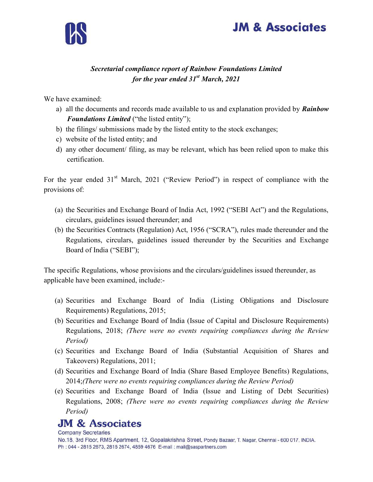



### Secretarial compliance report of Rainbow Foundations Limited for the year ended  $31<sup>st</sup> March, 2021$

We have examined:

- a) all the documents and records made available to us and explanation provided by **Rainbow** Foundations Limited ("the listed entity");
- b) the filings/ submissions made by the listed entity to the stock exchanges;
- c) website of the listed entity; and
- d) any other document/ filing, as may be relevant, which has been relied upon to make this certification.

For the year ended  $31<sup>st</sup>$  March, 2021 ("Review Period") in respect of compliance with the provisions of:

- (a) the Securities and Exchange Board of India Act, 1992 ("SEBI Act") and the Regulations, circulars, guidelines issued thereunder; and
- (b) the Securities Contracts (Regulation) Act, 1956 ("SCRA"), rules made thereunder and the Regulations, circulars, guidelines issued thereunder by the Securities and Exchange Board of India ("SEBI");

The specific Regulations, whose provisions and the circulars/guidelines issued thereunder, as applicable have been examined, include:-

- (a) Securities and Exchange Board of India (Listing Obligations and Disclosure Requirements) Regulations, 2015;
- (b) Securities and Exchange Board of India (Issue of Capital and Disclosure Requirements) Regulations, 2018; (There were no events requiring compliances during the Review Period)
- (c) Securities and Exchange Board of India (Substantial Acquisition of Shares and Takeovers) Regulations, 2011;
- (d) Securities and Exchange Board of India (Share Based Employee Benefits) Regulations, 2014;(There were no events requiring compliances during the Review Period)
- (e) Securities and Exchange Board of India (Issue and Listing of Debt Securities) Regulations, 2008; (There were no events requiring compliances during the Review Period)

### **JM & Associates**

**Company Secretaries** 

No.18, 3rd Floor, RMS Apartment, 12, Gopalakrishna Street, Pondy Bazaar, T. Nagar, Chennai - 600 017, INDIA. Ph: 044 - 2815 2673, 2815 2674, 4859 4676 E-mail: mail@saspartners.com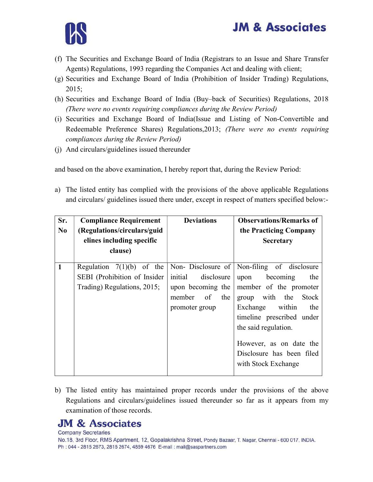# **JM & Associates**



- (f) The Securities and Exchange Board of India (Registrars to an Issue and Share Transfer Agents) Regulations, 1993 regarding the Companies Act and dealing with client;
- (g) Securities and Exchange Board of India (Prohibition of Insider Trading) Regulations, 2015;
- (h) Securities and Exchange Board of India (Buy–back of Securities) Regulations, 2018 (There were no events requiring compliances during the Review Period)
- (i) Securities and Exchange Board of India(Issue and Listing of Non-Convertible and Redeemable Preference Shares) Regulations,2013; (There were no events requiring compliances during the Review Period)
- (j) And circulars/guidelines issued thereunder

and based on the above examination, I hereby report that, during the Review Period:

a) The listed entity has complied with the provisions of the above applicable Regulations and circulars/ guidelines issued there under, except in respect of matters specified below:-

| Sr.<br>N <sub>0</sub> | <b>Compliance Requirement</b><br>(Regulations/circulars/guid<br>elines including specific<br>clause) | <b>Deviations</b>                                                                   | <b>Observations/Remarks of</b><br>the Practicing Company<br><b>Secretary</b>                                                                                                                                                                                                                |
|-----------------------|------------------------------------------------------------------------------------------------------|-------------------------------------------------------------------------------------|---------------------------------------------------------------------------------------------------------------------------------------------------------------------------------------------------------------------------------------------------------------------------------------------|
| $\mathbf{1}$          | Regulation $7(1)(b)$ of the<br>SEBI (Prohibition of Insider<br>Trading) Regulations, 2015;           | initial<br>disclosure<br>upon becoming the<br>of<br>member<br>the<br>promoter group | Non-Disclosure of Non-filing of disclosure<br>becoming<br>upon<br>the<br>member of the promoter<br>with the<br>Stock<br>group<br>Exchange within<br>the<br>timeline prescribed under<br>the said regulation.<br>However, as on date the<br>Disclosure has been filed<br>with Stock Exchange |

b) The listed entity has maintained proper records under the provisions of the above Regulations and circulars/guidelines issued thereunder so far as it appears from my examination of those records.

## **JM & Associates**

**Company Secretaries** No.18, 3rd Floor, RMS Apartment, 12, Gopalakrishna Street, Pondy Bazaar, T. Nagar, Chennai - 600 017, INDIA. Ph: 044 - 2815 2673, 2815 2674, 4859 4676 E-mail: mail@saspartners.com